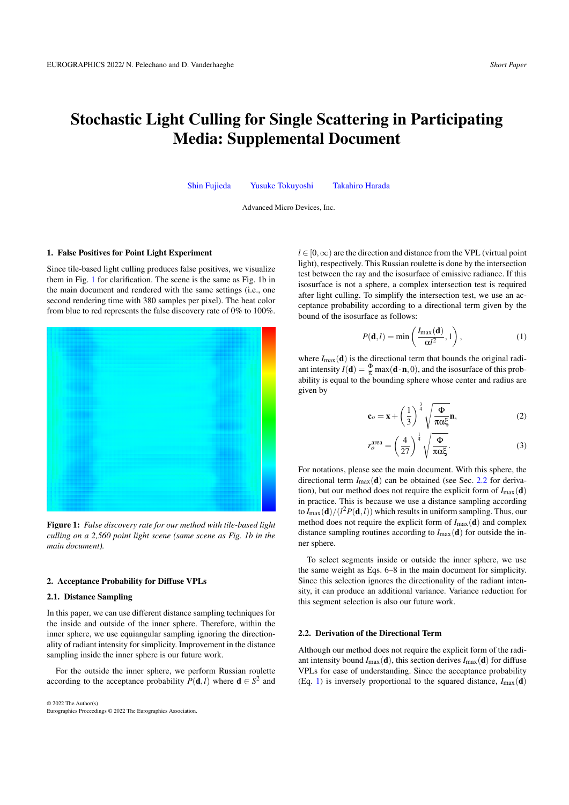# Stochastic Light Culling for Single Scattering in Participating Media: Supplemental Document

[Shin Fujieda](mailto:shin.fujieda@amd.com) [Yusuke Tokuyoshi](mailto:yusuke.tokuyoshi@amd.com) [Takahiro Harada](mailto:takahiro.harada@amd.com)

Advanced Micro Devices, Inc.

#### 1. False Positives for Point Light Experiment

Since tile-based light culling produces false positives, we visualize them in Fig. [1](#page-0-0) for clarification. The scene is the same as Fig. 1b in the main document and rendered with the same settings (i.e., one second rendering time with 380 samples per pixel). The heat color from blue to red represents the false discovery rate of 0% to 100%.

<span id="page-0-0"></span>

Figure 1: *False discovery rate for our method with tile-based light culling on a 2,560 point light scene (same scene as Fig. 1b in the main document).*

#### 2. Acceptance Probability for Diffuse VPLs

#### 2.1. Distance Sampling

In this paper, we can use different distance sampling techniques for the inside and outside of the inner sphere. Therefore, within the inner sphere, we use equiangular sampling ignoring the directionality of radiant intensity for simplicity. Improvement in the distance sampling inside the inner sphere is our future work.

For the outside the inner sphere, we perform Russian roulette according to the acceptance probability  $P(\mathbf{d},l)$  where  $\mathbf{d} \in S^2$  and

© 2022 The Author(s) Eurographics Proceedings © 2022 The Eurographics Association. *l* ∈ [0, ∞) are the direction and distance from the VPL (virtual point light), respectively. This Russian roulette is done by the intersection test between the ray and the isosurface of emissive radiance. If this isosurface is not a sphere, a complex intersection test is required after light culling. To simplify the intersection test, we use an acceptance probability according to a directional term given by the bound of the isosurface as follows:

<span id="page-0-2"></span>
$$
P(\mathbf{d},l) = \min\left(\frac{I_{\max}(\mathbf{d})}{\alpha l^2}, 1\right),\tag{1}
$$

where  $I_{\text{max}}(\mathbf{d})$  is the directional term that bounds the original radiant intensity  $I(\mathbf{d}) = \frac{\Phi}{\pi} \max(\mathbf{d} \cdot \mathbf{n}, 0)$ , and the isosurface of this probability is equal to the bounding sphere whose center and radius are given by

<span id="page-0-3"></span>
$$
\mathbf{c}_o = \mathbf{x} + \left(\frac{1}{3}\right)^{\frac{3}{4}} \sqrt{\frac{\Phi}{\pi \alpha \xi}} \mathbf{n},\tag{2}
$$

<span id="page-0-4"></span>
$$
r_o^{\text{area}} = \left(\frac{4}{27}\right)^{\frac{1}{4}} \sqrt{\frac{\Phi}{\pi \alpha \xi}}.
$$
 (3)

For notations, please see the main document. With this sphere, the directional term  $I_{\text{max}}(\mathbf{d})$  can be obtained (see Sec. [2.2](#page-0-1) for derivation), but our method does not require the explicit form of  $I_{\text{max}}(\mathbf{d})$ in practice. This is because we use a distance sampling according to  $I_{\text{max}}(\mathbf{d})/(l^2 P(\mathbf{d},l))$  which results in uniform sampling. Thus, our method does not require the explicit form of  $I_{\text{max}}(\mathbf{d})$  and complex distance sampling routines according to  $I_{\text{max}}(\mathbf{d})$  for outside the inner sphere.

To select segments inside or outside the inner sphere, we use the same weight as Eqs. 6–8 in the main document for simplicity. Since this selection ignores the directionality of the radiant intensity, it can produce an additional variance. Variance reduction for this segment selection is also our future work.

## <span id="page-0-1"></span>2.2. Derivation of the Directional Term

Although our method does not require the explicit form of the radiant intensity bound  $I_{\text{max}}(\mathbf{d})$ , this section derives  $I_{\text{max}}(\mathbf{d})$  for diffuse VPLs for ease of understanding. Since the acceptance probability (Eq. [1\)](#page-0-2) is inversely proportional to the squared distance,  $I_{\text{max}}(\mathbf{d})$